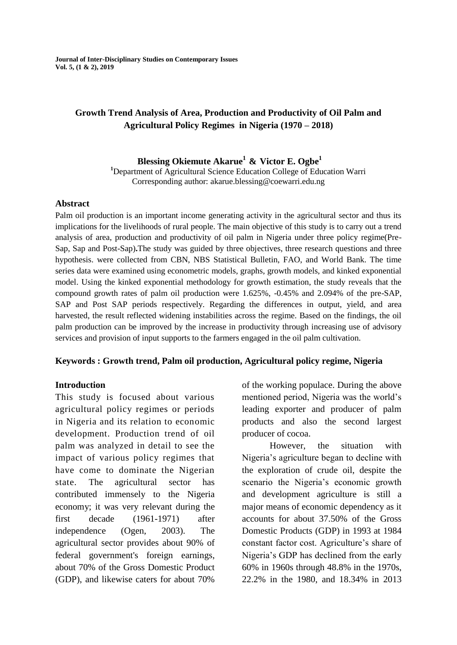**Journal of Inter-Disciplinary Studies on Contemporary Issues Vol. 5, (1 & 2), 2019**

# **Growth Trend Analysis of Area, Production and Productivity of Oil Palm and Agricultural Policy Regimes in Nigeria (1970 – 2018)**

# **Blessing Okiemute Akarue<sup>1</sup> & Victor E. Ogbe<sup>1</sup>**

**<sup>1</sup>**Department of Agricultural Science Education College of Education Warri Corresponding author: akarue.blessing@coewarri.edu.ng

#### **Abstract**

Palm oil production is an important income generating activity in the agricultural sector and thus its implications for the livelihoods of rural people. The main objective of this study is to carry out a trend analysis of area, production and productivity of oil palm in Nigeria under three policy regime(Pre-Sap, Sap and Post-Sap)**.**The study was guided by three objectives, three research questions and three hypothesis. were collected from CBN, NBS Statistical Bulletin, FAO, and World Bank. The time series data were examined using econometric models, graphs, growth models, and kinked exponential model. Using the kinked exponential methodology for growth estimation, the study reveals that the compound growth rates of palm oil production were 1.625%, -0.45% and 2.094% of the pre-SAP, SAP and Post SAP periods respectively. Regarding the differences in output, yield, and area harvested, the result reflected widening instabilities across the regime. Based on the findings, the oil palm production can be improved by the increase in productivity through increasing use of advisory services and provision of input supports to the farmers engaged in the oil palm cultivation.

## **Keywords : Growth trend, Palm oil production, Agricultural policy regime, Nigeria**

## **Introduction**

This study is focused about various agricultural policy regimes or periods in Nigeria and its relation to economic development. Production trend of oil palm was analyzed in detail to see the impact of various policy regimes that have come to dominate the Nigerian state. The agricultural sector has contributed immensely to the Nigeria economy; it was very relevant during the first decade (1961-1971) after independence (Ogen, 2003). The agricultural sector provides about 90% of federal government's foreign earnings, about 70% of the Gross Domestic Product (GDP), and likewise caters for about 70%

of the working populace. During the above mentioned period, Nigeria was the world's leading exporter and producer of palm products and also the second largest producer of cocoa.

However, the situation with Nigeria's agriculture began to decline with the exploration of crude oil, despite the scenario the Nigeria's economic growth and development agriculture is still a major means of economic dependency as it accounts for about 37.50% of the Gross Domestic Products (GDP) in 1993 at 1984 constant factor cost. Agriculture's share of Nigeria's GDP has declined from the early 60% in 1960s through 48.8% in the 1970s, 22.2% in the 1980, and 18.34% in 2013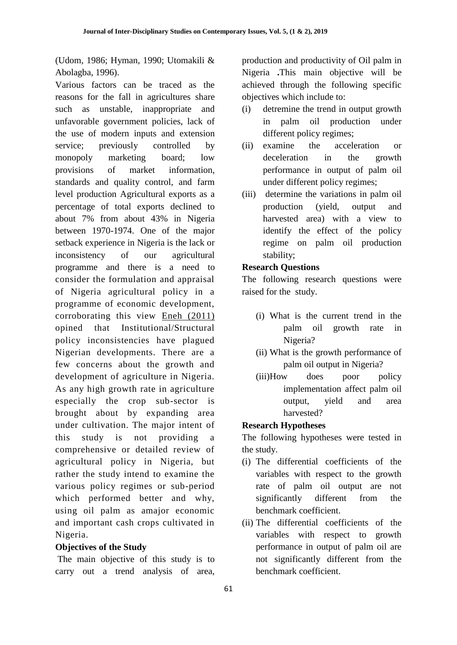(Udom, 1986; Hyman, 1990; Utomakili & Abolagba, 1996).

Various factors can be traced as the reasons for the fall in agricultures share such as unstable, inappropriate and unfavorable government policies, lack of the use of modern inputs and extension service; previously controlled by monopoly marketing board; low provisions of market information, standards and quality control, and farm level production Agricultural exports as a percentage of total exports declined to about 7% from about 43% in Nigeria between 1970-1974. One of the major setback experience in Nigeria is the lack or inconsistency of our agricultural programme and there is a need to consider the formulation and appraisal of Nigeria agricultural policy in a programme of economic development, corroborating this view [Eneh \(2011\)](https://scialert.net/fulltext/?doi=tae.2012.96.103#636387_ja) opined that Institutional/Structural policy inconsistencies have plagued Nigerian developments. There are a few concerns about the growth and development of agriculture in Nigeria. As any high growth rate in agriculture especially the crop sub-sector is brought about by expanding area under cultivation. The major intent of this study is not providing a comprehensive or detailed review of agricultural policy in Nigeria, but rather the study intend to examine the various policy regimes or sub-period which performed better and why, using oil palm as amajor economic and important cash crops cultivated in Nigeria.

# **Objectives of the Study**

The main objective of this study is to carry out a trend analysis of area,

production and productivity of Oil palm in Nigeria **.**This main objective will be achieved through the following specific objectives which include to:

- (i) detremine the trend in output growth in palm oil production under different policy regimes;
- (ii) examine the acceleration or deceleration in the growth performance in output of palm oil under different policy regimes;
- (iii) determine the variations in palm oil production (yield, output and harvested area) with a view to identify the effect of the policy regime on palm oil production stability;

## **Research Questions**

The following research questions were raised for the study.

- (i) What is the current trend in the palm oil growth rate in Nigeria?
- (ii) What is the growth performance of palm oil output in Nigeria?
- (iii)How does poor policy implementation affect palm oil output, yield and area harvested?

# **Research Hypotheses**

The following hypotheses were tested in the study.

- (i) The differential coefficients of the variables with respect to the growth rate of palm oil output are not significantly different from the benchmark coefficient.
- (ii) The differential coefficients of the variables with respect to growth performance in output of palm oil are not significantly different from the benchmark coefficient.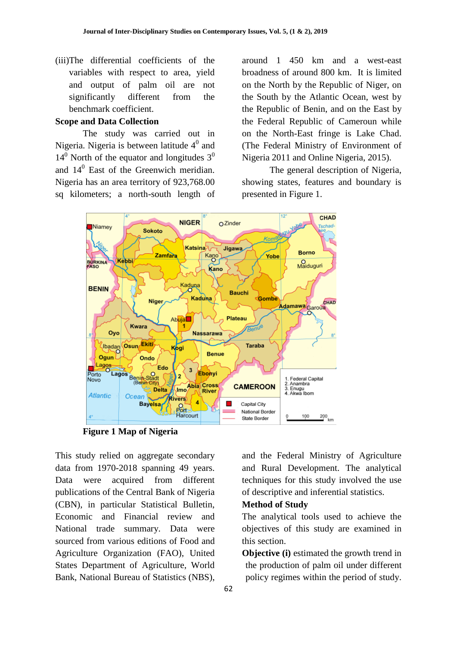(iii)The differential coefficients of the variables with respect to area, yield and output of palm oil are not significantly different from the benchmark coefficient.

#### **Scope and Data Collection**

The study was carried out in Nigeria. Nigeria is between latitude  $4^0$  and  $14<sup>0</sup>$  North of the equator and longitudes  $3<sup>0</sup>$ and  $14^0$  East of the Greenwich meridian. Nigeria has an area territory of 923,768.00 sq kilometers; a north-south length of

around 1 450 km and a west-east broadness of around 800 km. It is limited on the North by the Republic of Niger, on the South by the Atlantic Ocean, west by the Republic of Benin, and on the East by the Federal Republic of Cameroun while on the North-East fringe is Lake Chad. (The Federal Ministry of Environment of Nigeria 2011 and Online Nigeria, 2015).

The general description of Nigeria, showing states, features and boundary is presented in Figure 1.



**Figure 1 Map of Nigeria**

This study relied on aggregate secondary data from 1970-2018 spanning 49 years. Data were acquired from different publications of the Central Bank of Nigeria (CBN), in particular Statistical Bulletin, Economic and Financial review and National trade summary. Data were sourced from various editions of Food and Agriculture Organization (FAO), United States Department of Agriculture, World Bank, National Bureau of Statistics (NBS),

and the Federal Ministry of Agriculture and Rural Development. The analytical techniques for this study involved the use of descriptive and inferential statistics.

#### **Method of Study**

The analytical tools used to achieve the objectives of this study are examined in this section.

**Objective (i)** estimated the growth trend in the production of palm oil under different policy regimes within the period of study.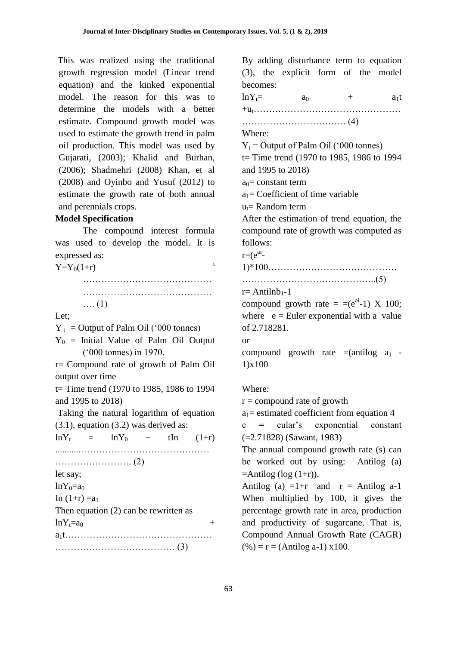This was realized using the traditional growth regression model (Linear trend equation) and the kinked exponential model. The reason for this was to determine the models with a better estimate. Compound growth model was used to estimate the growth trend in palm oil production. This model was used by Gujarati, (2003); Khalid and Burhan, (2006); Shadmehri (2008) Khan, et al (2008) and Oyinbo and Yusuf (2012) to estimate the growth rate of both annual and perennials crops.

#### **Model Specification**

The compound interest formula was used to develop the model. It is expressed as:

 $Y = Y_0(1+r)$  t

| $\dots(1)$ |  |  |  |  |  |  |  |  |  |  |  |  |  |  |  |  |  |  |  |  |
|------------|--|--|--|--|--|--|--|--|--|--|--|--|--|--|--|--|--|--|--|--|

Let;

 $Y_t$  = Output of Palm Oil ('000 tonnes)

 $Y_0$  = Initial Value of Palm Oil Output ('000 tonnes) in 1970.

r= Compound rate of growth of Palm Oil output over time

t= Time trend (1970 to 1985, 1986 to 1994 and 1995 to 2018)

Taking the natural logarithm of equation  $(3.1)$ , equation  $(3.2)$  was derived as:

 $lnY_t = lnY_0 + tIn (1+r)$ ...........…………………………………… ……………………. (2) let say;  $lnY_0=a_0$ In  $(1+r) = a_1$ Then equation (2) can be rewritten as  $\ln Y_t = a_0$  + a1t………………………………………… ………………………………… (3)

By adding disturbance term to equation (3), the explicit form of the model becomes:

 $lnY_t = a_0 + a_1t$ +ut…………………………………………

……………………………. (4)

Where:

 $Y_t$  = Output of Palm Oil ('000 tonnes)  $t=$  Time trend (1970 to 1985, 1986 to 1994)

and 1995 to 2018)

 $a_0$ = constant term

 $a_1$ = Coefficient of time variable

 $u_t$  = Random term

After the estimation of trend equation, the compound rate of growth was computed as follows:

 $r=(e^{ai}$ 

1)\*100……………………………………

……………………………………..(5)

 $r=$  Antilnb<sub>1</sub>-1

compound growth rate  $=$   $=(e^{ai}-1)$  X 100; where  $e =$  Euler exponential with a value of 2.718281.

or

compound growth rate  $=$ (antilog  $a_1$  -1)x100

#### Where:

 $r =$  compound rate of growth

 $a_1$ = estimated coefficient from equation 4

e = eular's exponential constant (=2.71828) (Sawant, 1983)

The annual compound growth rate (s) can be worked out by using: Antilog (a)  $=$ Antilog (log  $(1+r)$ ).

Antilog (a)  $=1+r$  and  $r =$  Antilog a-1 When multiplied by 100, it gives the percentage growth rate in area, production and productivity of sugarcane. That is, Compound Annual Growth Rate (CAGR)  $(%) = r = (Antilog a-1) x100.$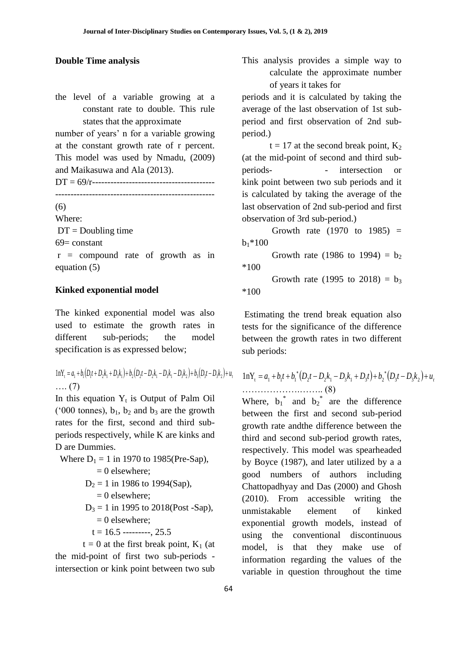the level of a variable growing at a constant rate to double. This rule states that the approximate

number of years' n for a variable growing at the constant growth rate of r percent. This model was used by Nmadu, (2009) and Maikasuwa and Ala (2013).

DT = 69/r----------------------------------------

----------------------------------------------------

(6)

Where:

 $DT =$ Doubling time

 $69$  = constant

r = compound rate of growth as in equation  $(5)$ 

## **Kinked exponential model**

The kinked exponential model was also used to estimate the growth rates in different sub-periods; the model specification is as expressed below;

 $1nY_t = a_1 + b_1(D_1t + D_2k_1 + D_3k_1) + b_2(D_2t - D_2k_1 - D_3k_1 - D_3k_2) + b_3(D_3t - D_3k_2) + u_t$ …. (7)

In this equation  $Y_t$  is Output of Palm Oil ('000 tonnes),  $b_1$ ,  $b_2$  and  $b_3$  are the growth rates for the first, second and third subperiods respectively, while K are kinks and D are Dummies.

 Where D<sup>1</sup> = 1 in 1970 to 1985(Pre-Sap), = 0 elsewhere; D<sup>2</sup> = 1 in 1986 to 1994(Sap),

 $= 0$  elsewhere;

 $D_3 = 1$  in 1995 to 2018(Post -Sap),  $= 0$  elsewhere:

$$
t = 16.5 \text{ ... } 25.5
$$

 $t = 0$  at the first break point,  $K_1$  (at the mid-point of first two sub-periods intersection or kink point between two sub

**Double Time analysis This analysis provides a simple way to** calculate the approximate number of years it takes for

> periods and it is calculated by taking the average of the last observation of 1st subperiod and first observation of 2nd subperiod.)

> $t = 17$  at the second break point,  $K_2$ (at the mid-point of second and third subperiods- - intersection or kink point between two sub periods and it is calculated by taking the average of the last observation of 2nd sub-period and first observation of 3rd sub-period.)

> Growth rate  $(1970 \text{ to } 1985)$  =  $b_1*100$

> Growth rate (1986 to 1994) =  $b_2$ \*100

> Growth rate (1995 to 2018) =  $b_3$ \*100

> Estimating the trend break equation also tests for the significance of the difference between the growth rates in two different sub periods:

$$
lnY_{t} = a_{1} + b_{1}t + b_{1}^{*}(D_{2}t - D_{2}k_{1} - D_{3}k_{1} + D_{3}t) + b_{2}^{*}(D_{3}t - D_{3}k_{2}) + u_{t}
$$
  
................. (8)

Where,  $b_1^*$  and  $b_2^*$  are the difference between the first and second sub-period growth rate andthe difference between the third and second sub-period growth rates, respectively. This model was spearheaded by Boyce (1987), and later utilized by a a good numbers of authors including Chattopadhyay and Das (2000) and Ghosh (2010). From accessible writing the unmistakable element of kinked exponential growth models, instead of using the conventional discontinuous model, is that they make use of information regarding the values of the variable in question throughout the time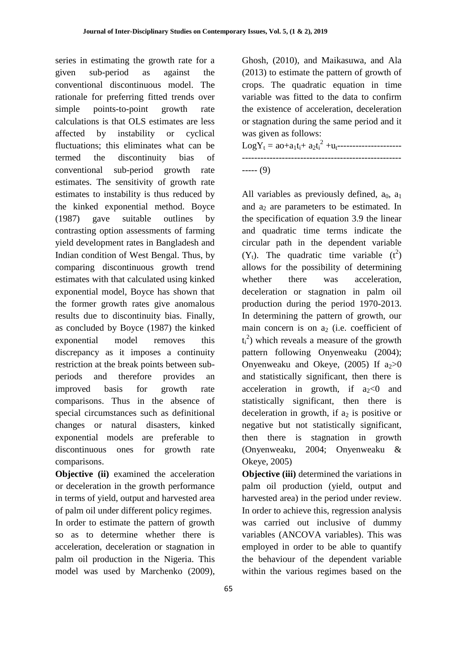series in estimating the growth rate for a given sub-period as against the conventional discontinuous model. The rationale for preferring fitted trends over simple points-to-point growth rate calculations is that OLS estimates are less affected by instability or cyclical fluctuations; this eliminates what can be termed the discontinuity bias of conventional sub-period growth rate estimates. The sensitivity of growth rate estimates to instability is thus reduced by the kinked exponential method. Boyce (1987) gave suitable outlines by contrasting option assessments of farming yield development rates in Bangladesh and Indian condition of West Bengal. Thus, by comparing discontinuous growth trend estimates with that calculated using kinked exponential model, Boyce has shown that the former growth rates give anomalous results due to discontinuity bias. Finally, as concluded by Boyce (1987) the kinked exponential model removes this discrepancy as it imposes a continuity restriction at the break points between subperiods and therefore provides an improved basis for growth rate comparisons. Thus in the absence of special circumstances such as definitional changes or natural disasters, kinked exponential models are preferable to discontinuous ones for growth rate comparisons.

**Objective (ii)** examined the acceleration or deceleration in the growth performance in terms of yield, output and harvested area of palm oil under different policy regimes.

In order to estimate the pattern of growth so as to determine whether there is acceleration, deceleration or stagnation in palm oil production in the Nigeria. This model was used by Marchenko (2009),

Ghosh, (2010), and Maikasuwa, and Ala (2013) to estimate the pattern of growth of crops. The quadratic equation in time variable was fitted to the data to confirm the existence of acceleration, deceleration or stagnation during the same period and it was given as follows:

LogY<sup>t</sup> = ao+a1ti+ a2t<sup>i</sup> 2 +ut--------------------- ---------------------------------------------------- ----- (9)

All variables as previously defined,  $a_0$ ,  $a_1$ and  $a_2$  are parameters to be estimated. In the specification of equation 3.9 the linear and quadratic time terms indicate the circular path in the dependent variable  $(Y_t)$ . The quadratic time variable  $(t^2)$ allows for the possibility of determining whether there was acceleration, deceleration or stagnation in palm oil production during the period 1970-2013. In determining the pattern of growth, our main concern is on  $a_2$  (i.e. coefficient of  $(t_i^2)$  which reveals a measure of the growth pattern following Onyenweaku (2004); Onyenweaku and Okeye,  $(2005)$  If  $a_2>0$ and statistically significant, then there is acceleration in growth, if  $a_2 < 0$  and statistically significant, then there is deceleration in growth, if  $a_2$  is positive or negative but not statistically significant, then there is stagnation in growth (Onyenweaku, 2004; Onyenweaku & Okeye, 2005)

**Objective (iii)** determined the variations in palm oil production (yield, output and harvested area) in the period under review. In order to achieve this, regression analysis was carried out inclusive of dummy variables (ANCOVA variables). This was employed in order to be able to quantify the behaviour of the dependent variable within the various regimes based on the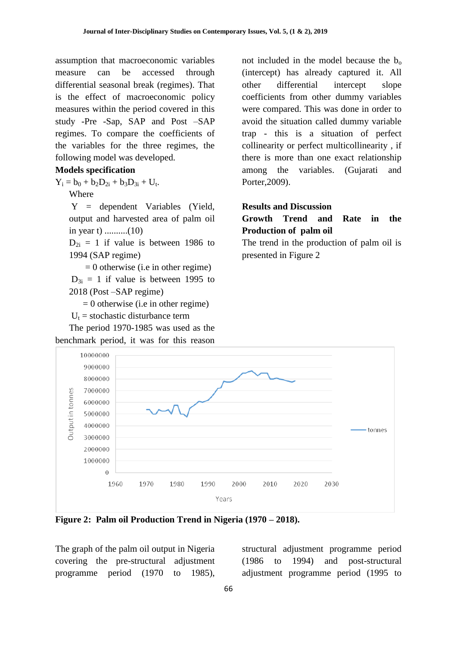assumption that macroeconomic variables measure can be accessed through differential seasonal break (regimes). That is the effect of macroeconomic policy measures within the period covered in this study -Pre -Sap, SAP and Post –SAP regimes. To compare the coefficients of the variables for the three regimes, the following model was developed.

#### **Models specification**

 $Y_i = b_0 + b_2D_{2i} + b_3D_{3i} + U_t.$ 

Where

Y = dependent Variables (Yield, output and harvested area of palm oil in year t) ..........(10)

 $D_{2i} = 1$  if value is between 1986 to 1994 (SAP regime)

 $= 0$  otherwise (i.e in other regime)

 $D_{3i} = 1$  if value is between 1995 to 2018 (Post –SAP regime)

 $= 0$  otherwise (i.e in other regime)

 $U_t$  = stochastic disturbance term

The period 1970-1985 was used as the benchmark period, it was for this reason

not included in the model because the  $b_0$ (intercept) has already captured it. All other differential intercept slope coefficients from other dummy variables were compared. This was done in order to avoid the situation called dummy variable trap - this is a situation of perfect collinearity or perfect multicollinearity , if there is more than one exact relationship among the variables. (Gujarati and Porter,2009).

#### **Results and Discussion**

# **Growth Trend and Rate in the Production of palm oil**

The trend in the production of palm oil is presented in Figure 2



**Figure 2: Palm oil Production Trend in Nigeria (1970 – 2018).**

The graph of the palm oil output in Nigeria covering the pre-structural adjustment programme period (1970 to 1985),

structural adjustment programme period (1986 to 1994) and post-structural adjustment programme period (1995 to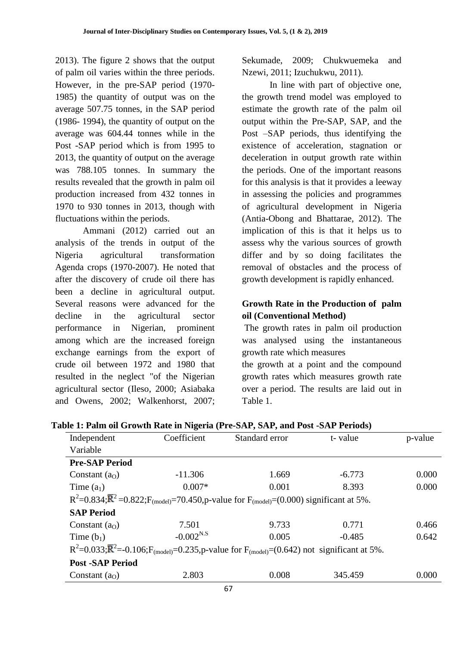2013). The figure 2 shows that the output of palm oil varies within the three periods. However, in the pre-SAP period (1970- 1985) the quantity of output was on the average 507.75 tonnes, in the SAP period (1986- 1994), the quantity of output on the average was 604.44 tonnes while in the Post -SAP period which is from 1995 to 2013, the quantity of output on the average was 788.105 tonnes. In summary the results revealed that the growth in palm oil production increased from 432 tonnes in 1970 to 930 tonnes in 2013, though with fluctuations within the periods.

Ammani (2012) carried out an analysis of the trends in output of the Nigeria agricultural transformation Agenda crops (1970-2007). He noted that after the discovery of crude oil there has been a decline in agricultural output. Several reasons were advanced for the decline in the agricultural sector performance in Nigerian, prominent among which are the increased foreign exchange earnings from the export of crude oil between 1972 and 1980 that resulted in the neglect "of the Nigerian agricultural sector (Ileso, 2000; Asiabaka and Owens, 2002; Walkenhorst, 2007;

Sekumade, 2009; Chukwuemeka and Nzewi, 2011; Izuchukwu, 2011).

In line with part of objective one, the growth trend model was employed to estimate the growth rate of the palm oil output within the Pre-SAP, SAP, and the Post –SAP periods, thus identifying the existence of acceleration, stagnation or deceleration in output growth rate within the periods. One of the important reasons for this analysis is that it provides a leeway in assessing the policies and programmes of agricultural development in Nigeria (Antia-Obong and Bhattarae, 2012). The implication of this is that it helps us to assess why the various sources of growth differ and by so doing facilitates the removal of obstacles and the process of growth development is rapidly enhanced.

# **Growth Rate in the Production of palm oil (Conventional Method)**

The growth rates in palm oil production was analysed using the instantaneous growth rate which measures

the growth at a point and the compound growth rates which measures growth rate over a period. The results are laid out in Table 1.

| Independent             | Coefficient    | Standard error                                                                                                                      | t-value  | p-value |
|-------------------------|----------------|-------------------------------------------------------------------------------------------------------------------------------------|----------|---------|
| Variable                |                |                                                                                                                                     |          |         |
| <b>Pre-SAP Period</b>   |                |                                                                                                                                     |          |         |
| Constant $(a0)$         | $-11.306$      | 1.669                                                                                                                               | $-6.773$ | 0.000   |
| Time $(a_1)$            | $0.007*$       | 0.001                                                                                                                               | 8.393    | 0.000   |
|                         |                | $R^2$ =0.834; $\bar{R}^2$ =0.822; $F_{(model)}$ =70.450, p-value for $F_{(model)}$ =(0.000) significant at 5%.                      |          |         |
| <b>SAP Period</b>       |                |                                                                                                                                     |          |         |
| Constant $(a0)$         | 7.501          | 9.733                                                                                                                               | 0.771    | 0.466   |
| Time $(b_1)$            | $-0.002^{N.S}$ | 0.005                                                                                                                               | $-0.485$ | 0.642   |
|                         |                | $R^2$ =0.033; $\overline{R}^2$ =-0.106;F <sub>(model)</sub> =0.235,p-value for F <sub>(model)</sub> =(0.642) not significant at 5%. |          |         |
| <b>Post -SAP Period</b> |                |                                                                                                                                     |          |         |
| Constant $(a0)$         | 2.803          | 0.008                                                                                                                               | 345.459  | 0.000   |

**Table 1: Palm oil Growth Rate in Nigeria (Pre-SAP, SAP, and Post -SAP Periods)**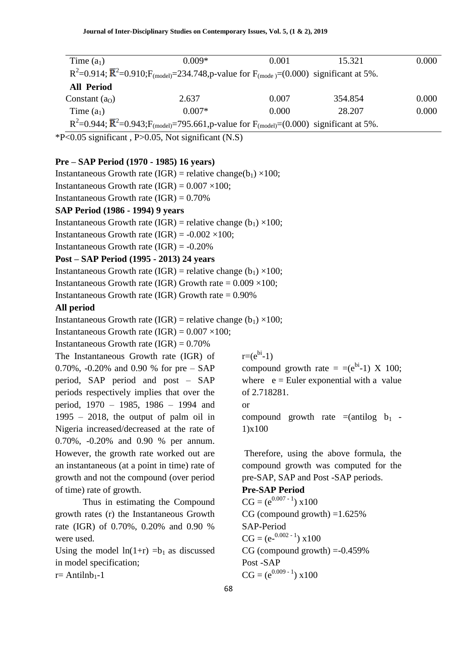| Time $(a_1)$                                                                                                                     | $0.009*$ | 0.001 | 15.321  | 0.000 |  |  |  |  |  |
|----------------------------------------------------------------------------------------------------------------------------------|----------|-------|---------|-------|--|--|--|--|--|
| $R^2$ =0.914; $\overline{R}^2$ =0.910;F <sub>(model)</sub> =234.748,p-value for F <sub>(mode)</sub> =(0.000) significant at 5%.  |          |       |         |       |  |  |  |  |  |
| <b>All Period</b>                                                                                                                |          |       |         |       |  |  |  |  |  |
| Constant $(a0)$                                                                                                                  | 2.637    | 0.007 | 354.854 | 0.000 |  |  |  |  |  |
| Time $(a_1)$                                                                                                                     | $0.007*$ | 0.000 | 28.207  | 0.000 |  |  |  |  |  |
| $R^2$ =0.944; $\overline{R}^2$ =0.943;F <sub>(model)</sub> =795.661,p-value for F <sub>(model)</sub> =(0.000) significant at 5%. |          |       |         |       |  |  |  |  |  |

 $*P<0.05$  significant, P $>0.05$ , Not significant (N.S)

## **Pre – SAP Period (1970 - 1985) 16 years)**

Instantaneous Growth rate (IGR) = relative change( $b_1$ ) ×100;

Instantaneous Growth rate  $(IGR) = 0.007 \times 100$ ;

Instantaneous Growth rate  $(IGR) = 0.70\%$ 

## **SAP Period (1986 - 1994) 9 years**

Instantaneous Growth rate (IGR) = relative change (b<sub>1</sub>) ×100;

Instantaneous Growth rate  $(IGR) = -0.002 \times 100$ ;

Instantaneous Growth rate (IGR) = -0.20%

## **Post – SAP Period (1995 - 2013) 24 years**

Instantaneous Growth rate (IGR) = relative change ( $b_1$ ) ×100;

Instantaneous Growth rate (IGR) Growth rate =  $0.009 \times 100$ ;

Instantaneous Growth rate (IGR) Growth rate  $= 0.90\%$ 

## **All period**

Instantaneous Growth rate (IGR) = relative change ( $b_1$ ) ×100;

Instantaneous Growth rate  $(IGR) = 0.007 \times 100$ ;

Instantaneous Growth rate  $(IGR) = 0.70\%$ 

The Instantaneous Growth rate (IGR) of 0.70%, -0.20% and 0.90 % for pre – SAP period, SAP period and post – SAP periods respectively implies that over the period, 1970 – 1985, 1986 – 1994 and  $1995 - 2018$ , the output of palm oil in Nigeria increased/decreased at the rate of 0.70%, -0.20% and 0.90 % per annum. However, the growth rate worked out are an instantaneous (at a point in time) rate of growth and not the compound (over period of time) rate of growth.

Thus in estimating the Compound growth rates (r) the Instantaneous Growth rate (IGR) of 0.70%, 0.20% and 0.90 % were used.

Using the model  $ln(1+r) = b_1$  as discussed in model specification;  $r=$  Antilnb<sub>1</sub>-1

 $r=(e^{bi}-1)$ 

compound growth rate  $=$  =(e<sup>bi</sup>-1) X 100; where  $e =$  Euler exponential with a value of 2.718281. or compound growth rate  $=(\text{antilog } b_1 -$ 1)x100

Therefore, using the above formula, the compound growth was computed for the pre-SAP, SAP and Post -SAP periods.

#### **Pre-SAP Period**

 $CG = (e^{0.007 - 1}) \times 100$ CG (compound growth)  $=1.625\%$ SAP-Period  $CG = (e^{-0.002 - 1}) \times 100$  $CG$  (compound growth)  $= -0.459\%$ Post -SAP  $CG = (e^{0.009 - 1}) \times 100$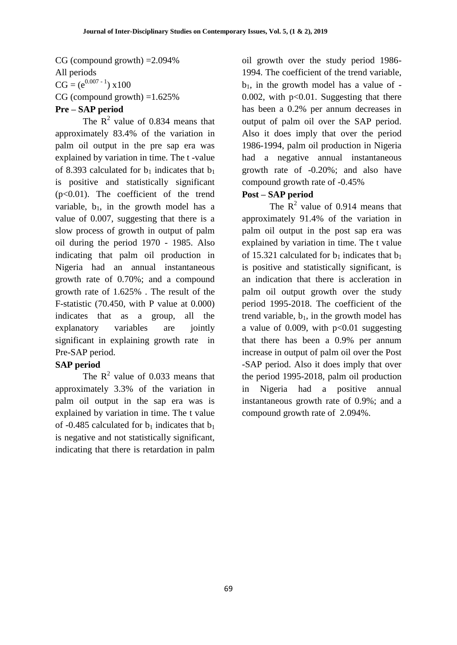CG (compound growth) =2.094% All periods  $CG = (e^{0.007 - 1}) \times 100$ CG (compound growth)  $=1.625\%$ **Pre – SAP period**

The  $R^2$  value of 0.834 means that approximately 83.4% of the variation in palm oil output in the pre sap era was explained by variation in time. The t -value of 8.393 calculated for  $b_1$  indicates that  $b_1$ is positive and statistically significant  $(p<0.01)$ . The coefficient of the trend variable,  $b_1$ , in the growth model has a value of 0.007, suggesting that there is a slow process of growth in output of palm oil during the period 1970 - 1985. Also indicating that palm oil production in Nigeria had an annual instantaneous growth rate of 0.70%; and a compound growth rate of 1.625% . The result of the F-statistic (70.450, with P value at 0.000) indicates that as a group, all the explanatory variables are jointly significant in explaining growth rate in Pre-SAP period.

# **SAP period**

The  $R^2$  value of 0.033 means that approximately 3.3% of the variation in palm oil output in the sap era was is explained by variation in time. The t value of -0.485 calculated for  $b_1$  indicates that  $b_1$ is negative and not statistically significant, indicating that there is retardation in palm

oil growth over the study period 1986- 1994. The coefficient of the trend variable,  $b_1$ , in the growth model has a value of -0.002, with  $p<0.01$ . Suggesting that there has been a 0.2% per annum decreases in output of palm oil over the SAP period. Also it does imply that over the period 1986-1994, palm oil production in Nigeria had a negative annual instantaneous growth rate of -0.20%; and also have compound growth rate of -0.45%

# **Post – SAP period**

The  $R^2$  value of 0.914 means that approximately 91.4% of the variation in palm oil output in the post sap era was explained by variation in time. The t value of 15.321 calculated for  $b_1$  indicates that  $b_1$ is positive and statistically significant, is an indication that there is accleration in palm oil output growth over the study period 1995-2018. The coefficient of the trend variable,  $b_1$ , in the growth model has a value of 0.009, with  $p<0.01$  suggesting that there has been a 0.9% per annum increase in output of palm oil over the Post -SAP period. Also it does imply that over the period 1995-2018, palm oil production in Nigeria had a positive annual instantaneous growth rate of 0.9%; and a compound growth rate of 2.094%.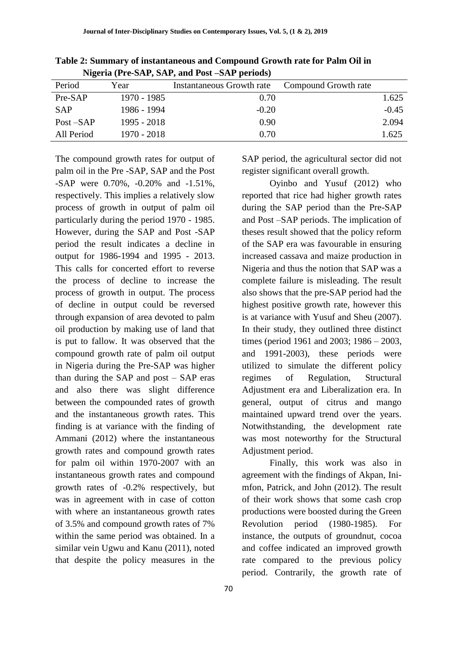|              | $\frac{1}{2}$ and $\frac{1}{2}$ is $\frac{1}{2}$ in $\frac{1}{2}$ and $\frac{1}{2}$ use $\frac{1}{2}$ is $\frac{1}{2}$ if $\frac{1}{2}$ |                                  |                      |         |  |  |  |  |  |  |  |
|--------------|-----------------------------------------------------------------------------------------------------------------------------------------|----------------------------------|----------------------|---------|--|--|--|--|--|--|--|
| Period       | Year                                                                                                                                    | <b>Instantaneous Growth rate</b> | Compound Growth rate |         |  |  |  |  |  |  |  |
| Pre-SAP      | 1970 - 1985                                                                                                                             | 0.70                             |                      | 1.625   |  |  |  |  |  |  |  |
| <b>SAP</b>   | 1986 - 1994                                                                                                                             | $-0.20$                          |                      | $-0.45$ |  |  |  |  |  |  |  |
| $Post - SAP$ | 1995 - 2018                                                                                                                             | 0.90                             |                      | 2.094   |  |  |  |  |  |  |  |
| All Period   | $1970 - 2018$                                                                                                                           | 0.70                             |                      | 1.625   |  |  |  |  |  |  |  |

**Table 2: Summary of instantaneous and Compound Growth rate for Palm Oil in Nigeria (Pre-SAP, SAP, and Post –SAP periods)**

The compound growth rates for output of palm oil in the Pre -SAP, SAP and the Post -SAP were 0.70%, -0.20% and -1.51%, respectively. This implies a relatively slow process of growth in output of palm oil particularly during the period 1970 - 1985. However, during the SAP and Post -SAP period the result indicates a decline in output for 1986-1994 and 1995 - 2013. This calls for concerted effort to reverse the process of decline to increase the process of growth in output. The process of decline in output could be reversed through expansion of area devoted to palm oil production by making use of land that is put to fallow. It was observed that the compound growth rate of palm oil output in Nigeria during the Pre-SAP was higher than during the SAP and post – SAP eras and also there was slight difference between the compounded rates of growth and the instantaneous growth rates. This finding is at variance with the finding of Ammani (2012) where the instantaneous growth rates and compound growth rates for palm oil within 1970-2007 with an instantaneous growth rates and compound growth rates of -0.2% respectively, but was in agreement with in case of cotton with where an instantaneous growth rates of 3.5% and compound growth rates of 7% within the same period was obtained. In a similar vein Ugwu and Kanu (2011), noted that despite the policy measures in the

SAP period, the agricultural sector did not register significant overall growth.

Oyinbo and Yusuf (2012) who reported that rice had higher growth rates during the SAP period than the Pre-SAP and Post –SAP periods. The implication of theses result showed that the policy reform of the SAP era was favourable in ensuring increased cassava and maize production in Nigeria and thus the notion that SAP was a complete failure is misleading. The result also shows that the pre-SAP period had the highest positive growth rate, however this is at variance with Yusuf and Sheu (2007). In their study, they outlined three distinct times (period 1961 and 2003; 1986 – 2003, and 1991-2003), these periods were utilized to simulate the different policy regimes of Regulation, Structural Adjustment era and Liberalization era. In general, output of citrus and mango maintained upward trend over the years. Notwithstanding, the development rate was most noteworthy for the Structural Adjustment period.

Finally, this work was also in agreement with the findings of Akpan, Inimfon, Patrick, and John (2012). The result of their work shows that some cash crop productions were boosted during the Green Revolution period (1980-1985). For instance, the outputs of groundnut, cocoa and coffee indicated an improved growth rate compared to the previous policy period. Contrarily, the growth rate of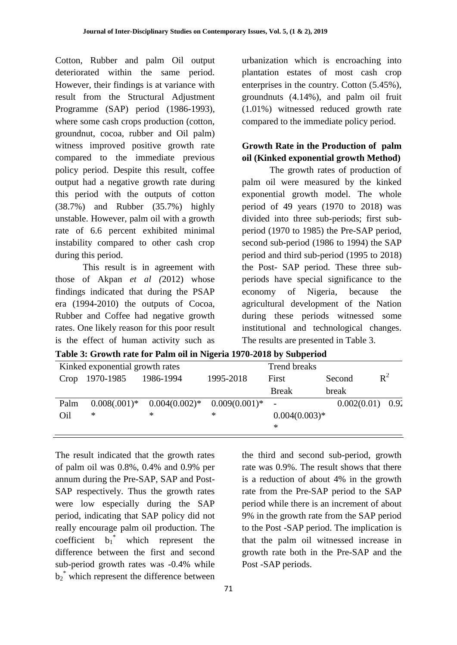Cotton, Rubber and palm Oil output deteriorated within the same period. However, their findings is at variance with result from the Structural Adjustment Programme (SAP) period (1986-1993), where some cash crops production (cotton, groundnut, cocoa, rubber and Oil palm) witness improved positive growth rate compared to the immediate previous policy period. Despite this result, coffee output had a negative growth rate during this period with the outputs of cotton (38.7%) and Rubber (35.7%) highly unstable. However, palm oil with a growth rate of 6.6 percent exhibited minimal instability compared to other cash crop during this period.

This result is in agreement with those of Akpan *et al (*2012) whose findings indicated that during the PSAP era (1994-2010) the outputs of Cocoa, Rubber and Coffee had negative growth rates. One likely reason for this poor result is the effect of human activity such as

urbanization which is encroaching into plantation estates of most cash crop enterprises in the country. Cotton (5.45%), groundnuts (4.14%), and palm oil fruit (1.01%) witnessed reduced growth rate compared to the immediate policy period.

# **Growth Rate in the Production of palm oil (Kinked exponential growth Method)**

The growth rates of production of palm oil were measured by the kinked exponential growth model. The whole period of 49 years (1970 to 2018) was divided into three sub-periods; first subperiod (1970 to 1985) the Pre-SAP period, second sub-period (1986 to 1994) the SAP period and third sub-period (1995 to 2018) the Post- SAP period. These three subperiods have special significance to the economy of Nigeria, because the agricultural development of the Nation during these periods witnessed some institutional and technological changes. The results are presented in Table 3.

|      | Kinked exponential growth rates |                                                   | <b>Trend breaks</b> |                          |                    |       |  |  |
|------|---------------------------------|---------------------------------------------------|---------------------|--------------------------|--------------------|-------|--|--|
|      | Crop 1970-1985                  | 1986-1994                                         | 1995-2018           | First                    | Second             | $R^2$ |  |  |
|      |                                 |                                                   |                     | <b>Break</b>             | break              |       |  |  |
| Palm |                                 | $0.008(.001)^*$ $0.004(0.002)^*$ $0.009(0.001)^*$ |                     | $\overline{\phantom{a}}$ | $0.002(0.01)$ 0.92 |       |  |  |
| Oil  | ∗                               | ∗                                                 | ∗                   | $0.004(0.003)*$          |                    |       |  |  |
|      |                                 |                                                   |                     | ∗                        |                    |       |  |  |

**Table 3: Growth rate for Palm oil in Nigeria 1970-2018 by Subperiod**

The result indicated that the growth rates of palm oil was 0.8%, 0.4% and 0.9% per annum during the Pre-SAP, SAP and Post-SAP respectively. Thus the growth rates were low especially during the SAP period, indicating that SAP policy did not really encourage palm oil production. The coefficient  $b_1^*$ which represent the difference between the first and second sub-period growth rates was -0.4% while  $b_2^*$  which represent the difference between

the third and second sub-period, growth rate was 0.9%. The result shows that there is a reduction of about 4% in the growth rate from the Pre-SAP period to the SAP period while there is an increment of about 9% in the growth rate from the SAP period to the Post -SAP period. The implication is that the palm oil witnessed increase in growth rate both in the Pre-SAP and the Post -SAP periods.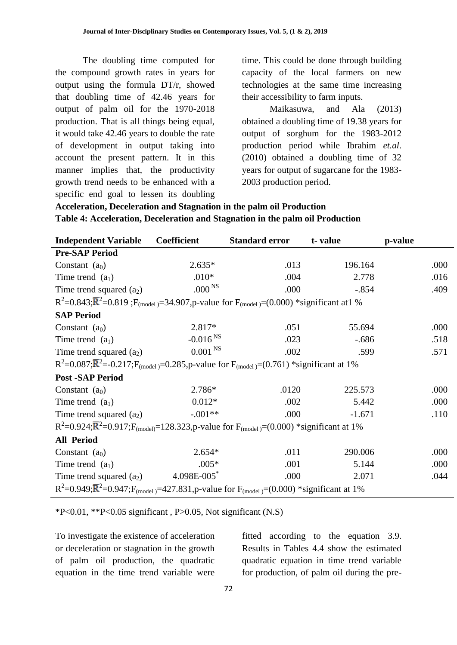The doubling time computed for the compound growth rates in years for output using the formula DT/r, showed that doubling time of 42.46 years for output of palm oil for the 1970-2018 production. That is all things being equal, it would take 42.46 years to double the rate of development in output taking into account the present pattern. It in this manner implies that, the productivity growth trend needs to be enhanced with a specific end goal to lessen its doubling time. This could be done through building capacity of the local farmers on new technologies at the same time increasing their accessibility to farm inputs.

Maikasuwa, and Ala (2013) obtained a doubling time of 19.38 years for output of sorghum for the 1983-2012 production period while Ibrahim *et.al*. (2010) obtained a doubling time of 32 years for output of sugarcane for the 1983- 2003 production period.

# **Acceleration, Deceleration and Stagnation in the palm oil Production Table 4: Acceleration, Deceleration and Stagnation in the palm oil Production**

| <b>Independent Variable</b>                                                                                          | <b>Coefficient</b>                                                                                                 | <b>Standard error</b> | t-value  | p-value |  |  |  |  |  |
|----------------------------------------------------------------------------------------------------------------------|--------------------------------------------------------------------------------------------------------------------|-----------------------|----------|---------|--|--|--|--|--|
| <b>Pre-SAP Period</b>                                                                                                |                                                                                                                    |                       |          |         |  |  |  |  |  |
| Constant $(a_0)$                                                                                                     | $2.635*$                                                                                                           | .013                  | 196.164  | .000    |  |  |  |  |  |
| Time trend $(a_1)$                                                                                                   | $.010*$                                                                                                            | .004                  | 2.778    | .016    |  |  |  |  |  |
| Time trend squared $(a_2)$                                                                                           | .000 <sup>NS</sup>                                                                                                 | .000                  | $-.854$  | .409    |  |  |  |  |  |
| $R^2$ =0.843; $\bar{R}^2$ =0.819; $F_{(model)}$ =34.907,p-value for $F_{(model)}$ =(0.000) *significant at 1 %       |                                                                                                                    |                       |          |         |  |  |  |  |  |
| <b>SAP Period</b>                                                                                                    |                                                                                                                    |                       |          |         |  |  |  |  |  |
| Constant $(a_0)$                                                                                                     | 2.817*                                                                                                             | .051                  | 55.694   | .000    |  |  |  |  |  |
| Time trend $(a_1)$                                                                                                   | $-0.016NS$                                                                                                         | .023                  | $-.686$  | .518    |  |  |  |  |  |
| Time trend squared $(a_2)$                                                                                           | 0.001 <sup>NS</sup>                                                                                                | .002                  | .599     | .571    |  |  |  |  |  |
|                                                                                                                      | $R^2$ =0.087; $\overline{R}^2$ =-0.217; $F_{(model)}$ =0.285,p-value for $F_{(model)}$ =(0.761) *significant at 1% |                       |          |         |  |  |  |  |  |
| <b>Post -SAP Period</b>                                                                                              |                                                                                                                    |                       |          |         |  |  |  |  |  |
| Constant $(a_0)$                                                                                                     | 2.786*                                                                                                             | .0120                 | 225.573  | .000    |  |  |  |  |  |
| Time trend $(a_1)$                                                                                                   | $0.012*$                                                                                                           | .002                  | 5.442    | .000    |  |  |  |  |  |
| Time trend squared $(a_2)$                                                                                           | $-.001**$                                                                                                          | .000                  | $-1.671$ | .110    |  |  |  |  |  |
| $R^2$ =0.924; $\overline{R}^2$ =0.917; $F_{(model)}$ =128.323,p-value for $F_{(model)}$ =(0.000) *significant at 1%  |                                                                                                                    |                       |          |         |  |  |  |  |  |
| <b>All Period</b>                                                                                                    |                                                                                                                    |                       |          |         |  |  |  |  |  |
| Constant $(a_0)$                                                                                                     | $2.654*$                                                                                                           | .011                  | 290.006  | .000    |  |  |  |  |  |
| Time trend $(a_1)$                                                                                                   | $.005*$                                                                                                            | .001                  | 5.144    | .000    |  |  |  |  |  |
| Time trend squared $(a_2)$                                                                                           | $4.098E - 005$                                                                                                     | .000                  | 2.071    | .044    |  |  |  |  |  |
| $R^2$ =0.949; $\overline{R}^2$ =0.947; $F_{(model)}$ =427.831, p-value for $F_{(model)}$ =(0.000) *significant at 1% |                                                                                                                    |                       |          |         |  |  |  |  |  |

 $*P<0.01$ ,  $*P<0.05$  significant, P $>0.05$ , Not significant (N.S)

To investigate the existence of acceleration or deceleration or stagnation in the growth of palm oil production, the quadratic equation in the time trend variable were

fitted according to the equation 3.9. Results in Tables 4.4 show the estimated quadratic equation in time trend variable for production, of palm oil during the pre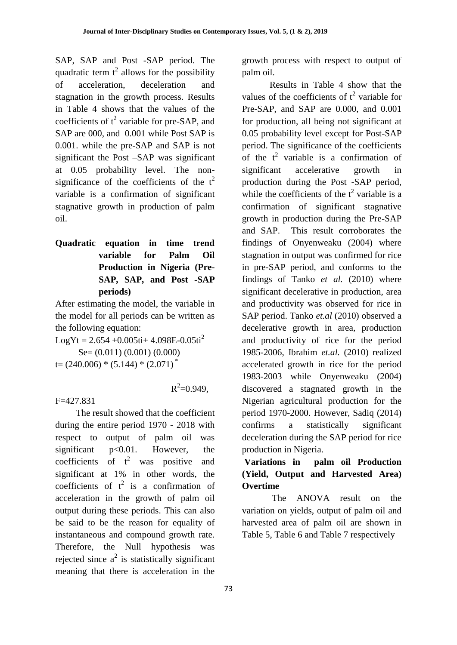SAP, SAP and Post -SAP period. The quadratic term  $t^2$  allows for the possibility of acceleration, deceleration and stagnation in the growth process. Results in Table 4 shows that the values of the coefficients of  $t^2$  variable for pre-SAP, and SAP are 000, and 0.001 while Post SAP is 0.001. while the pre-SAP and SAP is not significant the Post –SAP was significant at 0.05 probability level. The nonsignificance of the coefficients of the  $t^2$ variable is a confirmation of significant stagnative growth in production of palm oil.

**Quadratic equation in time trend variable for Palm Oil Production in Nigeria (Pre-SAP, SAP, and Post -SAP periods)**

After estimating the model, the variable in the model for all periods can be written as the following equation:

 $LogYt = 2.654 + 0.005t + 4.098E - 0.05t^2$  Se= (0.011) (0.001) (0.000)  $t = (240.006) * (5.144) * (2.071)$ 

 $R^2 = 0.949$ ,

F=427.831

 The result showed that the coefficient during the entire period 1970 - 2018 with respect to output of palm oil was significant p<0.01. However, the coefficients of  $t^2$  was positive and significant at 1% in other words, the coefficients of  $t^2$  is a confirmation of acceleration in the growth of palm oil output during these periods. This can also be said to be the reason for equality of instantaneous and compound growth rate. Therefore, the Null hypothesis was rejected since  $a^2$  is statistically significant meaning that there is acceleration in the

growth process with respect to output of palm oil.

Results in Table 4 show that the values of the coefficients of  $t^2$  variable for Pre-SAP, and SAP are 0.000, and 0.001 for production, all being not significant at 0.05 probability level except for Post-SAP period. The significance of the coefficients of the  $t^2$  variable is a confirmation of significant accelerative growth in production during the Post -SAP period, while the coefficients of the  $t^2$  variable is a confirmation of significant stagnative growth in production during the Pre-SAP and SAP. This result corroborates the findings of Onyenweaku (2004) where stagnation in output was confirmed for rice in pre-SAP period, and conforms to the findings of Tanko *et al.* (2010) where significant decelerative in production, area and productivity was observed for rice in SAP period. Tanko *et.al* (2010) observed a decelerative growth in area, production and productivity of rice for the period 1985-2006, Ibrahim *et.al.* (2010) realized accelerated growth in rice for the period 1983-2003 while Onyenweaku (2004) discovered a stagnated growth in the Nigerian agricultural production for the period 1970-2000. However, Sadiq (2014) confirms a statistically significant deceleration during the SAP period for rice production in Nigeria.

# **Variations in palm oil Production (Yield, Output and Harvested Area) Overtime**

The ANOVA result on the variation on yields, output of palm oil and harvested area of palm oil are shown in Table 5, Table 6 and Table 7 respectively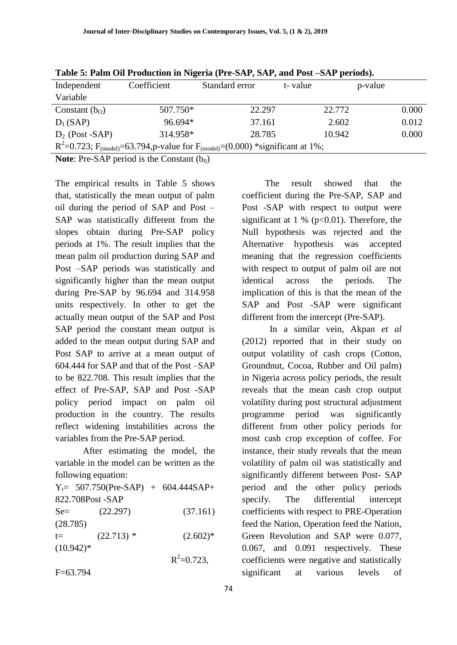| Table of Faill Oli Frouncholl III Hightin (FIC DIM (DIM ) and Fost DIM perfous).                                   |             |                |         |         |  |  |  |  |  |  |
|--------------------------------------------------------------------------------------------------------------------|-------------|----------------|---------|---------|--|--|--|--|--|--|
| Independent                                                                                                        | Coefficient | Standard error | t-value | p-value |  |  |  |  |  |  |
| Variable                                                                                                           |             |                |         |         |  |  |  |  |  |  |
| Constant $(b0)$                                                                                                    | 507.750*    | 22.297         | 22.772  | 0.000   |  |  |  |  |  |  |
| $D_1(SAP)$                                                                                                         | 96.694*     | 37.161         | 2.602   | 0.012   |  |  |  |  |  |  |
| $D_2$ (Post -SAP)                                                                                                  | 314.958*    | 28.785         | 10.942  | 0.000   |  |  |  |  |  |  |
| R <sup>2</sup> =0.723; F <sub>(model)</sub> =63.794, p-value for F <sub>(model)</sub> =(0.000) *significant at 1%; |             |                |         |         |  |  |  |  |  |  |

**Table 5: Palm Oil Production in Nigeria (Pre-SAP, SAP, and Post –SAP periods).**

**Note:** Pre-SAP period is the Constant  $(b_0)$ 

The empirical results in Table 5 shows that, statistically the mean output of palm oil during the period of SAP and Post – SAP was statistically different from the slopes obtain during Pre-SAP policy periods at 1%. The result implies that the mean palm oil production during SAP and Post –SAP periods was statistically and significantly higher than the mean output during Pre-SAP by 96.694 and 314.958 units respectively. In other to get the actually mean output of the SAP and Post SAP period the constant mean output is added to the mean output during SAP and Post SAP to arrive at a mean output of 604.444 for SAP and that of the Post –SAP to be 822.708. This result implies that the effect of Pre-SAP, SAP and Post -SAP policy period impact on palm oil production in the country. The results reflect widening instabilities across the variables from the Pre-SAP period.

After estimating the model, the variable in the model can be written as the following equation:

|             | $Y_t = 507.750(Pre-SAP) + 604.444SAP +$ |                 |
|-------------|-----------------------------------------|-----------------|
|             | 822.708Post - SAP                       |                 |
| $Se=$       | (22.297)                                | (37.161)        |
| (28.785)    |                                         |                 |
| $t =$       | $(22.713)$ *                            | $(2.602)*$      |
| $(10.942)*$ |                                         |                 |
|             |                                         | $R^2 = 0.723$ , |
| $F=63.794$  |                                         |                 |

 The result showed that the coefficient during the Pre-SAP, SAP and Post -SAP with respect to output were significant at 1 % ( $p<0.01$ ). Therefore, the Null hypothesis was rejected and the Alternative hypothesis was accepted meaning that the regression coefficients with respect to output of palm oil are not identical across the periods. The implication of this is that the mean of the SAP and Post -SAP were significant different from the intercept (Pre-SAP).

In a similar vein, Akpan *et al* (2012) reported that in their study on output volatility of cash crops (Cotton, Groundnut, Cocoa, Rubber and Oil palm) in Nigeria across policy periods, the result reveals that the mean cash crop output volatility during post structural adjustment programme period was significantly different from other policy periods for most cash crop exception of coffee. For instance, their study reveals that the mean volatility of palm oil was statistically and significantly different between Post- SAP period and the other policy periods specify. The differential intercept coefficients with respect to PRE-Operation feed the Nation, Operation feed the Nation, Green Revolution and SAP were 0.077, 0.067, and 0.091 respectively. These coefficients were negative and statistically significant at various levels of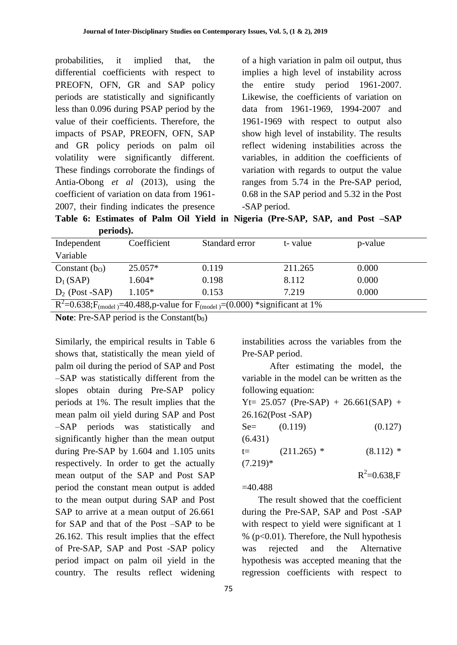probabilities, it implied that, the differential coefficients with respect to PREOFN, OFN, GR and SAP policy periods are statistically and significantly less than 0.096 during PSAP period by the value of their coefficients. Therefore, the impacts of PSAP, PREOFN, OFN, SAP and GR policy periods on palm oil volatility were significantly different. These findings corroborate the findings of Antia-Obong *et al* (2013), using the coefficient of variation on data from 1961- 2007, their finding indicates the presence

of a high variation in palm oil output, thus implies a high level of instability across the entire study period 1961-2007. Likewise, the coefficients of variation on data from 1961-1969, 1994-2007 and 1961-1969 with respect to output also show high level of instability. The results reflect widening instabilities across the variables, in addition the coefficients of variation with regards to output the value ranges from 5.74 in the Pre-SAP period, 0.68 in the SAP period and 5.32 in the Post -SAP period.

**Table 6: Estimates of Palm Oil Yield in Nigeria (Pre-SAP, SAP, and Post –SAP periods).**

| --------                                                                                               |             |                |         |         |  |  |  |  |
|--------------------------------------------------------------------------------------------------------|-------------|----------------|---------|---------|--|--|--|--|
| Independent                                                                                            | Coefficient | Standard error | t-value | p-value |  |  |  |  |
| Variable                                                                                               |             |                |         |         |  |  |  |  |
| Constant $(b0)$                                                                                        | $25.057*$   | 0.119          | 211.265 | 0.000   |  |  |  |  |
| $D_1(SAP)$                                                                                             | $1.604*$    | 0.198          | 8.112   | 0.000   |  |  |  |  |
| $D_2$ (Post -SAP)                                                                                      | $1.105*$    | 0.153          | 7.219   | 0.000   |  |  |  |  |
| $R^2$ =0.638;F <sub>(model)</sub> =40.488,p-value for F <sub>(model)</sub> =(0.000) *significant at 1% |             |                |         |         |  |  |  |  |

**Note:** Pre-SAP period is the Constant( $b_0$ )

Similarly, the empirical results in Table 6 shows that, statistically the mean yield of palm oil during the period of SAP and Post –SAP was statistically different from the slopes obtain during Pre-SAP policy periods at 1%. The result implies that the mean palm oil yield during SAP and Post –SAP periods was statistically and significantly higher than the mean output during Pre-SAP by 1.604 and 1.105 units respectively. In order to get the actually mean output of the SAP and Post SAP period the constant mean output is added to the mean output during SAP and Post SAP to arrive at a mean output of 26.661 for SAP and that of the Post –SAP to be 26.162. This result implies that the effect of Pre-SAP, SAP and Post -SAP policy period impact on palm oil yield in the country. The results reflect widening

instabilities across the variables from the Pre-SAP period.

After estimating the model, the variable in the model can be written as the following equation:

|            |                   | $Yt = 25.057$ (Pre-SAP) + 26.661(SAP) + |
|------------|-------------------|-----------------------------------------|
|            | 26.162(Post -SAP) |                                         |
| $Se=$      | (0.119)           | (0.127)                                 |
| (6.431)    |                   |                                         |
| t=         | $(211.265)$ *     | $(8.112)$ *                             |
| $(7.219)*$ |                   |                                         |
|            |                   | $R^2 = 0.638$ ,F                        |
|            |                   |                                         |

 $=40.488$ 

 The result showed that the coefficient during the Pre-SAP, SAP and Post -SAP with respect to yield were significant at 1  $%$  (p<0.01). Therefore, the Null hypothesis was rejected and the Alternative hypothesis was accepted meaning that the regression coefficients with respect to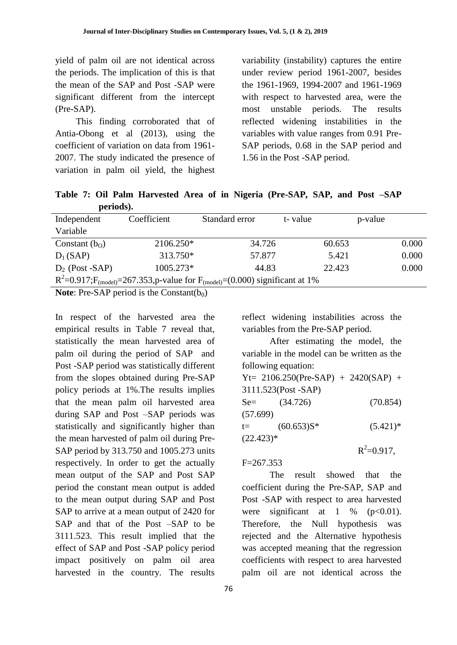yield of palm oil are not identical across the periods. The implication of this is that the mean of the SAP and Post -SAP were significant different from the intercept (Pre-SAP).

 This finding corroborated that of Antia-Obong et al (2013), using the coefficient of variation on data from 1961- 2007. The study indicated the presence of variation in palm oil yield, the highest variability (instability) captures the entire under review period 1961-2007, besides the 1961-1969, 1994-2007 and 1961-1969 with respect to harvested area, were the most unstable periods. The results reflected widening instabilities in the variables with value ranges from 0.91 Pre-SAP periods, 0.68 in the SAP period and 1.56 in the Post -SAP period.

**Table 7: Oil Palm Harvested Area of in Nigeria (Pre-SAP, SAP, and Post –SAP periods).**

| Independent                                                                                            | Coefficient | Standard error | t-value | p-value |  |  |  |  |
|--------------------------------------------------------------------------------------------------------|-------------|----------------|---------|---------|--|--|--|--|
| Variable                                                                                               |             |                |         |         |  |  |  |  |
| Constant $(b0)$                                                                                        | 2106.250*   | 34.726         | 60.653  | 0.000   |  |  |  |  |
| $D_1(SAP)$                                                                                             | 313.750*    | 57.877         | 5.421   | 0.000   |  |  |  |  |
| $D_2$ (Post -SAP)                                                                                      | 1005.273*   | 44.83          | 22.423  | 0.000   |  |  |  |  |
| $R^2$ =0.917;F <sub>(model)</sub> =267.353,p-value for F <sub>(model)</sub> =(0.000) significant at 1% |             |                |         |         |  |  |  |  |
|                                                                                                        |             |                |         |         |  |  |  |  |

**Note:** Pre-SAP period is the Constant( $b_0$ )

In respect of the harvested area the empirical results in Table 7 reveal that, statistically the mean harvested area of palm oil during the period of SAP and Post -SAP period was statistically different from the slopes obtained during Pre-SAP policy periods at 1%.The results implies that the mean palm oil harvested area during SAP and Post –SAP periods was statistically and significantly higher than the mean harvested of palm oil during Pre-SAP period by 313.750 and 1005.273 units respectively. In order to get the actually mean output of the SAP and Post SAP period the constant mean output is added to the mean output during SAP and Post SAP to arrive at a mean output of 2420 for SAP and that of the Post –SAP to be 3111.523. This result implied that the effect of SAP and Post -SAP policy period impact positively on palm oil area harvested in the country. The results

reflect widening instabilities across the variables from the Pre-SAP period.

After estimating the model, the variable in the model can be written as the following equation: Yt= 2106.250(Pre-SAP) + 2420(SAP) + 3111.523(Post -SAP)  $Se=$  (34.726) (70.854) (57.699)  $t=$   $(60.653)S^*$   $(5.421)^*$  $(22.423)*$  $R^2 = 0.917$ ,

 $F=267.353$ 

The result showed that the coefficient during the Pre-SAP, SAP and Post -SAP with respect to area harvested were significant at  $1 \%$  (p<0.01). Therefore, the Null hypothesis was rejected and the Alternative hypothesis was accepted meaning that the regression coefficients with respect to area harvested palm oil are not identical across the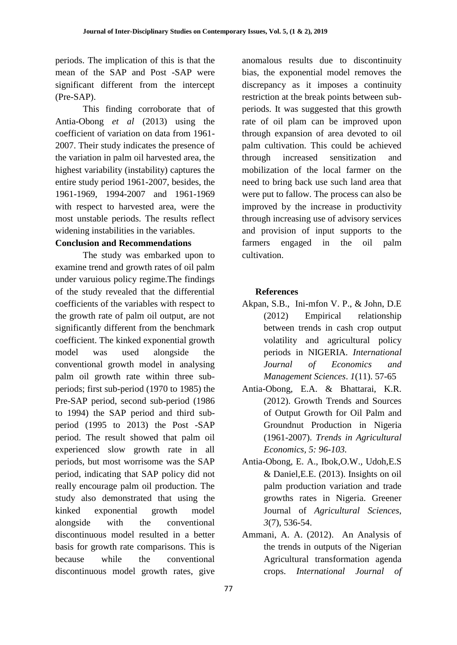periods. The implication of this is that the mean of the SAP and Post -SAP were significant different from the intercept (Pre-SAP).

This finding corroborate that of Antia-Obong *et al* (2013) using the coefficient of variation on data from 1961- 2007. Their study indicates the presence of the variation in palm oil harvested area, the highest variability (instability) captures the entire study period 1961-2007, besides, the 1961-1969, 1994-2007 and 1961-1969 with respect to harvested area, were the most unstable periods. The results reflect widening instabilities in the variables.

# **Conclusion and Recommendations**

The study was embarked upon to examine trend and growth rates of oil palm under varuious policy regime.The findings of the study revealed that the differential coefficients of the variables with respect to the growth rate of palm oil output, are not significantly different from the benchmark coefficient. The kinked exponential growth model was used alongside the conventional growth model in analysing palm oil growth rate within three subperiods; first sub-period (1970 to 1985) the Pre-SAP period, second sub-period (1986 to 1994) the SAP period and third subperiod (1995 to 2013) the Post -SAP period. The result showed that palm oil experienced slow growth rate in all periods, but most worrisome was the SAP period, indicating that SAP policy did not really encourage palm oil production. The study also demonstrated that using the kinked exponential growth model alongside with the conventional discontinuous model resulted in a better basis for growth rate comparisons. This is because while the conventional discontinuous model growth rates, give

anomalous results due to discontinuity bias, the exponential model removes the discrepancy as it imposes a continuity restriction at the break points between subperiods. It was suggested that this growth rate of oil plam can be improved upon through expansion of area devoted to oil palm cultivation. This could be achieved through increased sensitization and mobilization of the local farmer on the need to bring back use such land area that were put to fallow. The process can also be improved by the increase in productivity through increasing use of advisory services and provision of input supports to the farmers engaged in the oil palm cultivation.

# **References**

- Akpan, S.B., Ini-mfon V. P., & John, D.E (2012) Empirical relationship between trends in cash crop output volatility and agricultural policy periods in NIGERIA. *International Journal of Economics and Management Sciences*. *1*(11). 57-65
- Antia-Obong, E.A. & Bhattarai, K.R. (2012). Growth Trends and Sources of Output Growth for Oil Palm and Groundnut Production in Nigeria (1961-2007). *Trends in Agricultural Economics, 5: 96-103.*
- Antia-Obong, E. A., Ibok,O.W., Udoh,E.S & Daniel,E.E. (2013). Insights on oil palm production variation and trade growths rates in Nigeria. Greener Journal of *Agricultural Sciences, 3*(7), 536-54.
- Ammani, A. A. (2012). An Analysis of the trends in outputs of the Nigerian Agricultural transformation agenda crops. *International Journal of*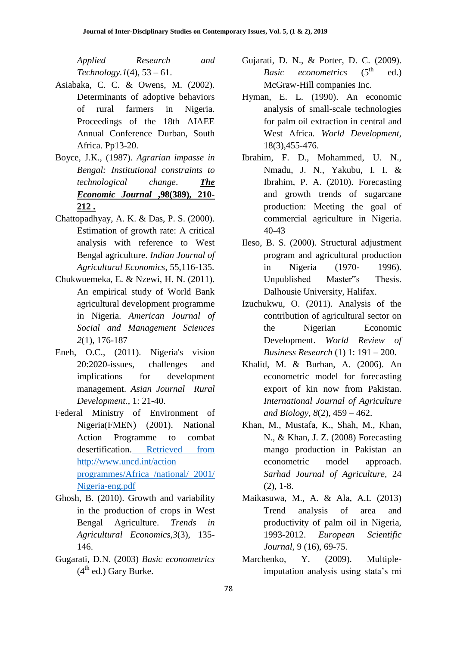*Applied Research and Technology.1*(4), 53 – 61.

- Asiabaka, C. C. & Owens, M. (2002). Determinants of adoptive behaviors of rural farmers in Nigeria. Proceedings of the 18th AIAEE Annual Conference Durban, South Africa. Pp13-20.
- Boyce, J.K., (1987). *Agrarian impasse in Bengal: Institutional constraints to technological change*. *[The](http://onlinelibrary.wiley.com/doi/10.1002/jid.3380010306/abstract#publication-history)  [Economic Journal](http://onlinelibrary.wiley.com/doi/10.1002/jid.3380010306/abstract#publication-history)* **,98(389), 210- [212 .](http://onlinelibrary.wiley.com/doi/10.1002/jid.3380010306/abstract#publication-history)**
- Chattopadhyay, A. K. & Das, P. S. (2000). Estimation of growth rate: A critical analysis with reference to West Bengal agriculture. *Indian Journal of Agricultural Economics*, 55,116-135.
- Chukwuemeka, E. & Nzewi, H. N. (2011). An empirical study of World Bank agricultural development programme in Nigeria. *American Journal of Social and Management Sciences 2*(1), 176-187
- Eneh, O.C., (2011). Nigeria's vision 20:2020-issues, challenges and implications for development management. *Asian Journal Rural Development*., 1: 21-40.
- Federal Ministry of Environment of Nigeria(FMEN) (2001). National Action Programme to combat desertification. [Retrieved from](articles%20for%20publication/articles%20for%20publication/Retrieved%20from%20http:/www.uncd.int/action%20programmes/Africa%20/national/%202001/%20Nigeria-eng.pdf)  [http://www.uncd.int/action](articles%20for%20publication/articles%20for%20publication/Retrieved%20from%20http:/www.uncd.int/action%20programmes/Africa%20/national/%202001/%20Nigeria-eng.pdf)  [programmes/Africa /national/ 2001/](articles%20for%20publication/articles%20for%20publication/Retrieved%20from%20http:/www.uncd.int/action%20programmes/Africa%20/national/%202001/%20Nigeria-eng.pdf)  [Nigeria-eng.pdf](articles%20for%20publication/articles%20for%20publication/Retrieved%20from%20http:/www.uncd.int/action%20programmes/Africa%20/national/%202001/%20Nigeria-eng.pdf)
- Ghosh, B. (2010). Growth and variability in the production of crops in West Bengal Agriculture. *Trends in Agricultural Economics,3*(3), 135- 146.
- Gugarati, D.N. (2003) *Basic econometrics*  $(4<sup>th</sup>$  ed.) Gary Burke.
- Gujarati, D. N., & Porter, D. C. (2009). *Basic econometrics* (5<sup>th</sup> ed.) McGraw-Hill companies Inc.
- Hyman, E. L. (1990). An economic analysis of small-scale technologies for palm oil extraction in central and West Africa. *World Development*, 18(3),455-476.
- Ibrahim, F. D., Mohammed, U. N., Nmadu, J. N., Yakubu, I. I. & Ibrahim, P. A. (2010). Forecasting and growth trends of sugarcane production: Meeting the goal of commercial agriculture in Nigeria. 40-43
- Ileso, B. S. (2000). Structural adjustment program and agricultural production in Nigeria (1970- 1996). Unpublished Master"s Thesis. Dalhousie University, Halifax.
- Izuchukwu, O. (2011). Analysis of the contribution of agricultural sector on the Nigerian Economic Development. *World Review of Business Research* (1) 1: 191 – 200.
- Khalid, M. & Burhan, A. (2006). An econometric model for forecasting export of kin now from Pakistan. *International Journal of Agriculture and Biology, 8*(2), 459 – 462.
- Khan, M., Mustafa, K., Shah, M., Khan, N., & Khan, J. Z. (2008) Forecasting mango production in Pakistan an econometric model approach. *Sarhad Journal of Agriculture,* 24 (2), 1-8.
- Maikasuwa, M., A. & Ala, A.L (2013) Trend analysis of area and productivity of palm oil in Nigeria, 1993-2012. *European Scientific Journal,* 9 (16), 69-75.
- Marchenko, Y. (2009). Multipleimputation analysis using stata's mi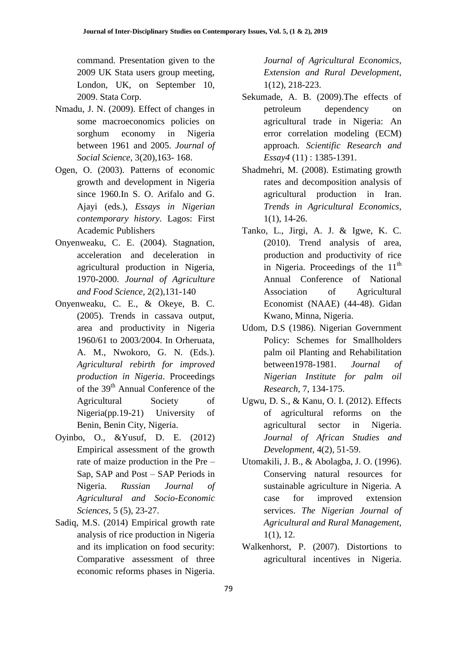command. Presentation given to the 2009 UK Stata users group meeting, London, UK, on September 10, 2009. Stata Corp.

- Nmadu, J. N. (2009). Effect of changes in some macroeconomics policies on sorghum economy in Nigeria between 1961 and 2005. *Journal of Social Science,* 3(20),163- 168.
- Ogen, O. (2003). Patterns of economic growth and development in Nigeria since 1960.In S. O. Arifalo and G. Ajayi (eds.), *Essays in Nigerian contemporary history.* Lagos: First Academic Publishers
- Onyenweaku, C. E. (2004). Stagnation, acceleration and deceleration in agricultural production in Nigeria, 1970-2000. *Journal of Agriculture and Food Science,* 2(2),131-140
- Onyenweaku, C. E., & Okeye, B. C. (2005). Trends in cassava output, area and productivity in Nigeria 1960/61 to 2003/2004. In Orheruata, A. M., Nwokoro, G. N. (Eds.). *Agricultural rebirth for improved production in Nigeria*. Proceedings of the 39<sup>th</sup> Annual Conference of the Agricultural Society of Nigeria(pp.19-21) University of Benin, Benin City, Nigeria.
- Oyinbo, O., &Yusuf, D. E. (2012) Empirical assessment of the growth rate of maize production in the Pre – Sap, SAP and Post – SAP Periods in Nigeria. *Russian Journal of Agricultural and Socio-Economic Sciences,* 5 (5), 23-27.
- Sadiq, M.S. (2014) Empirical growth rate analysis of rice production in Nigeria and its implication on food security: Comparative assessment of three economic reforms phases in Nigeria.

*Journal of Agricultural Economics, Extension and Rural Development*, 1(12), 218-223.

- Sekumade, A. B. (2009).The effects of petroleum dependency on agricultural trade in Nigeria: An error correlation modeling (ECM) approach. *Scientific Research and Essay4* (11) : 1385-1391.
- Shadmehri, M. (2008). Estimating growth rates and decomposition analysis of agricultural production in Iran. *Trends in Agricultural Economics,*  1(1), 14-26.
- Tanko, L., Jirgi, A. J. & Igwe, K. C. (2010). Trend analysis of area, production and productivity of rice in Nigeria. Proceedings of the  $11<sup>th</sup>$ Annual Conference of National Association of Agricultural Economist (NAAE) (44-48). Gidan Kwano, Minna, Nigeria.
- Udom, D.S (1986). Nigerian Government Policy: Schemes for Smallholders palm oil Planting and Rehabilitation between1978-1981. *Journal of Nigerian Institute for palm oil Research*, 7, 134-175.
- Ugwu, D. S., & Kanu, O. I. (2012). Effects of agricultural reforms on the agricultural sector in Nigeria. *Journal of African Studies and Development,* 4(2), 51-59.
- Utomakili, J. B., & Abolagba, J. O. (1996). Conserving natural resources for sustainable agriculture in Nigeria. A case for improved extension services. *The Nigerian Journal of Agricultural and Rural Management*, 1(1), 12.
- Walkenhorst, P. (2007). Distortions to agricultural incentives in Nigeria.